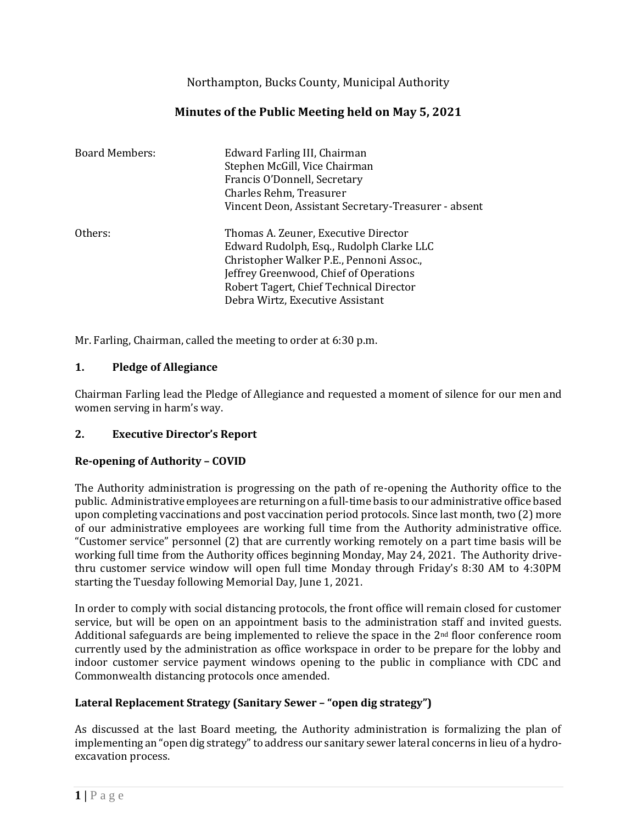Northampton, Bucks County, Municipal Authority

# **Minutes of the Public Meeting held on May 5, 2021**

| <b>Board Members:</b> | Edward Farling III, Chairman<br>Stephen McGill, Vice Chairman<br>Francis O'Donnell, Secretary<br>Charles Rehm, Treasurer<br>Vincent Deon, Assistant Secretary-Treasurer - absent                                                                      |
|-----------------------|-------------------------------------------------------------------------------------------------------------------------------------------------------------------------------------------------------------------------------------------------------|
| Others:               | Thomas A. Zeuner, Executive Director<br>Edward Rudolph, Esq., Rudolph Clarke LLC<br>Christopher Walker P.E., Pennoni Assoc.,<br>Jeffrey Greenwood, Chief of Operations<br>Robert Tagert, Chief Technical Director<br>Debra Wirtz, Executive Assistant |

Mr. Farling, Chairman, called the meeting to order at 6:30 p.m.

## **1. Pledge of Allegiance**

Chairman Farling lead the Pledge of Allegiance and requested a moment of silence for our men and women serving in harm's way.

# **2. Executive Director's Report**

## **Re-opening of Authority – COVID**

The Authority administration is progressing on the path of re-opening the Authority office to the public. Administrative employees are returning on a full-time basis to our administrative office based upon completing vaccinations and post vaccination period protocols. Since last month, two (2) more of our administrative employees are working full time from the Authority administrative office. "Customer service" personnel (2) that are currently working remotely on a part time basis will be working full time from the Authority offices beginning Monday, May 24, 2021. The Authority drivethru customer service window will open full time Monday through Friday's 8:30 AM to 4:30PM starting the Tuesday following Memorial Day, June 1, 2021.

In order to comply with social distancing protocols, the front office will remain closed for customer service, but will be open on an appointment basis to the administration staff and invited guests. Additional safeguards are being implemented to relieve the space in the 2<sup>nd</sup> floor conference room currently used by the administration as office workspace in order to be prepare for the lobby and indoor customer service payment windows opening to the public in compliance with CDC and Commonwealth distancing protocols once amended.

# **Lateral Replacement Strategy (Sanitary Sewer – "open dig strategy")**

As discussed at the last Board meeting, the Authority administration is formalizing the plan of implementing an "open dig strategy" to address our sanitary sewer lateral concerns in lieu of a hydroexcavation process.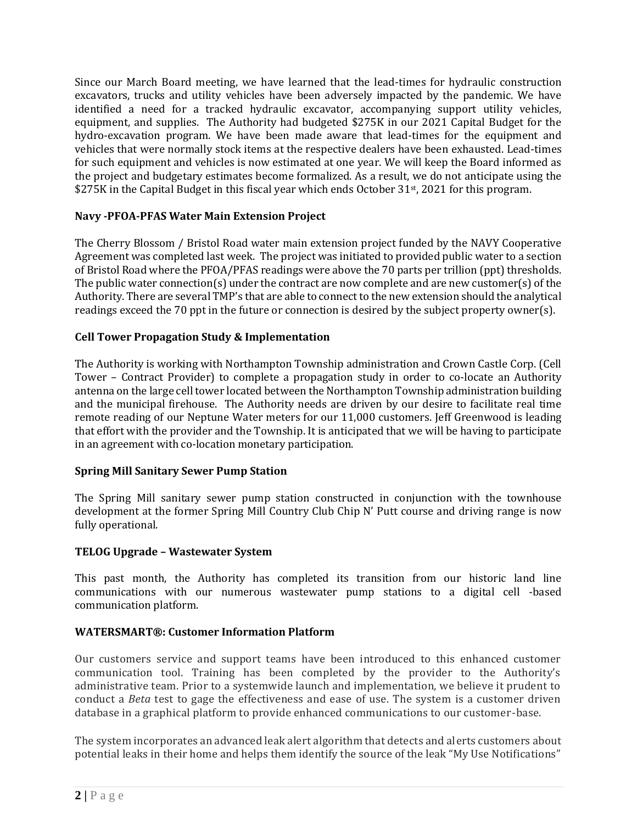Since our March Board meeting, we have learned that the lead-times for hydraulic construction excavators, trucks and utility vehicles have been adversely impacted by the pandemic. We have identified a need for a tracked hydraulic excavator, accompanying support utility vehicles, equipment, and supplies. The Authority had budgeted \$275K in our 2021 Capital Budget for the hydro-excavation program. We have been made aware that lead-times for the equipment and vehicles that were normally stock items at the respective dealers have been exhausted. Lead-times for such equipment and vehicles is now estimated at one year. We will keep the Board informed as the project and budgetary estimates become formalized. As a result, we do not anticipate using the \$275K in the Capital Budget in this fiscal year which ends October 31<sup>st</sup>, 2021 for this program.

## **Navy -PFOA-PFAS Water Main Extension Project**

The Cherry Blossom / Bristol Road water main extension project funded by the NAVY Cooperative Agreement was completed last week. The project was initiated to provided public water to a section of Bristol Road where the PFOA/PFAS readings were above the 70 parts per trillion (ppt) thresholds. The public water connection(s) under the contract are now complete and are new customer(s) of the Authority. There are several TMP's that are able to connect to the new extension should the analytical readings exceed the 70 ppt in the future or connection is desired by the subject property owner(s).

## **Cell Tower Propagation Study & Implementation**

The Authority is working with Northampton Township administration and Crown Castle Corp. (Cell Tower – Contract Provider) to complete a propagation study in order to co-locate an Authority antenna on the large cell tower located between the Northampton Township administration building and the municipal firehouse. The Authority needs are driven by our desire to facilitate real time remote reading of our Neptune Water meters for our 11,000 customers. Jeff Greenwood is leading that effort with the provider and the Township. It is anticipated that we will be having to participate in an agreement with co-location monetary participation.

## **Spring Mill Sanitary Sewer Pump Station**

The Spring Mill sanitary sewer pump station constructed in conjunction with the townhouse development at the former Spring Mill Country Club Chip N' Putt course and driving range is now fully operational.

## **TELOG Upgrade – Wastewater System**

This past month, the Authority has completed its transition from our historic land line communications with our numerous wastewater pump stations to a digital cell -based communication platform.

## **WATERSMART®: Customer Information Platform**

Our customers service and support teams have been introduced to this enhanced customer communication tool. Training has been completed by the provider to the Authority's administrative team. Prior to a systemwide launch and implementation, we believe it prudent to conduct a *Beta* test to gage the effectiveness and ease of use. The system is a customer driven database in a graphical platform to provide enhanced communications to our customer -base.

The system incorporates an advanced leak alert algorithm that detects and alerts customers about potential leaks in their home and helps them identify the source of the leak "My Use Notifications"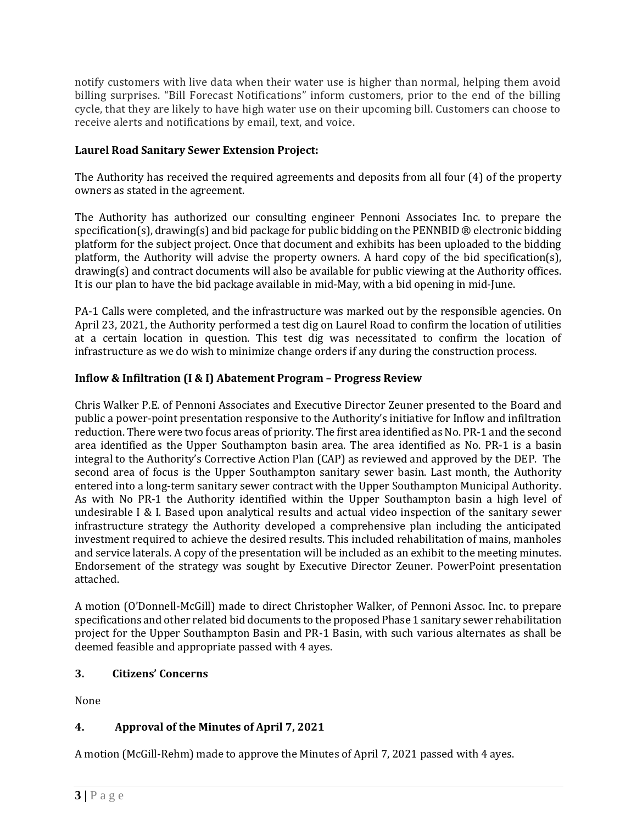notify customers with live data when their water use is higher than normal, helping them avoid billing surprises. "Bill Forecast Notifications" inform customers, prior to the end of the billing cycle, that they are likely to have high water use on their upcoming bill. Customers can choose to receive alerts and notifications by email, text, and voice.

## **Laurel Road Sanitary Sewer Extension Project:**

The Authority has received the required agreements and deposits from all four (4) of the property owners as stated in the agreement.

The Authority has authorized our consulting engineer Pennoni Associates Inc. to prepare the specification(s), drawing(s) and bid package for public bidding on the PENNBID  $\circledR$  electronic bidding platform for the subject project. Once that document and exhibits has been uploaded to the bidding platform, the Authority will advise the property owners. A hard copy of the bid specification(s), drawing(s) and contract documents will also be available for public viewing at the Authority offices. It is our plan to have the bid package available in mid-May, with a bid opening in mid-June.

PA-1 Calls were completed, and the infrastructure was marked out by the responsible agencies. On April 23, 2021, the Authority performed a test dig on Laurel Road to confirm the location of utilities at a certain location in question. This test dig was necessitated to confirm the location of infrastructure as we do wish to minimize change orders if any during the construction process.

## **Inflow & Infiltration (I & I) Abatement Program – Progress Review**

Chris Walker P.E. of Pennoni Associates and Executive Director Zeuner presented to the Board and public a power-point presentation responsive to the Authority's initiative for Inflow and infiltration reduction. There were two focus areas of priority. The first area identified as No. PR-1 and the second area identified as the Upper Southampton basin area. The area identified as No. PR-1 is a basin integral to the Authority's Corrective Action Plan (CAP) as reviewed and approved by the DEP. The second area of focus is the Upper Southampton sanitary sewer basin. Last month, the Authority entered into a long-term sanitary sewer contract with the Upper Southampton Municipal Authority. As with No PR-1 the Authority identified within the Upper Southampton basin a high level of undesirable I & I. Based upon analytical results and actual video inspection of the sanitary sewer infrastructure strategy the Authority developed a comprehensive plan including the anticipated investment required to achieve the desired results. This included rehabilitation of mains, manholes and service laterals. A copy of the presentation will be included as an exhibit to the meeting minutes. Endorsement of the strategy was sought by Executive Director Zeuner. PowerPoint presentation attached.

A motion (O'Donnell-McGill) made to direct Christopher Walker, of Pennoni Assoc. Inc. to prepare specifications and other related bid documents to the proposed Phase 1 sanitary sewer rehabilitation project for the Upper Southampton Basin and PR-1 Basin, with such various alternates as shall be deemed feasible and appropriate passed with 4 ayes.

## **3. Citizens' Concerns**

None

# **4. Approval of the Minutes of April 7, 2021**

A motion (McGill-Rehm) made to approve the Minutes of April 7, 2021 passed with 4 ayes.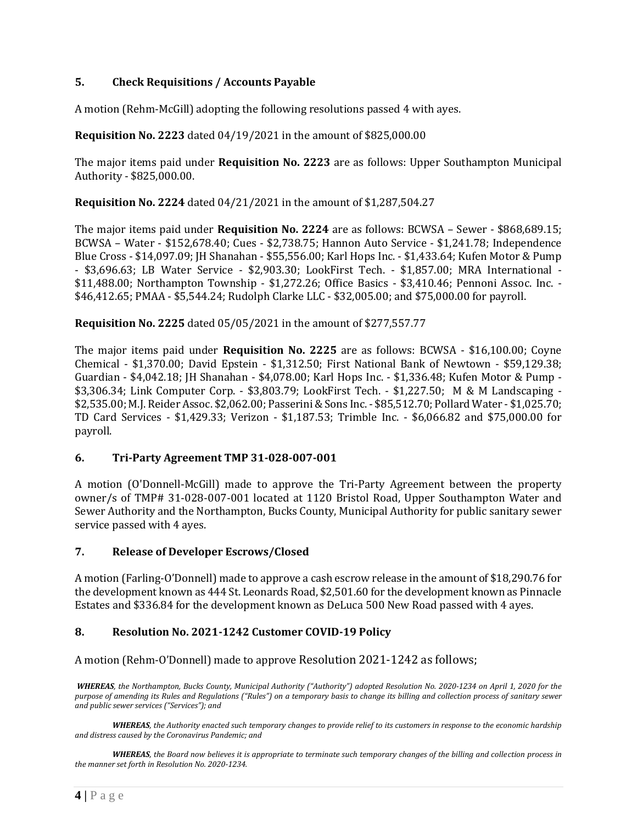## **5. Check Requisitions / Accounts Payable**

A motion (Rehm-McGill) adopting the following resolutions passed 4 with ayes.

### **Requisition No. 2223** dated 04/19/2021 in the amount of \$825,000.00

The major items paid under **Requisition No. 2223** are as follows: Upper Southampton Municipal Authority - \$825,000.00.

**Requisition No. 2224** dated 04/21/2021 in the amount of \$1,287,504.27

The major items paid under **Requisition No. 2224** are as follows: BCWSA – Sewer - \$868,689.15; BCWSA – Water - \$152,678.40; Cues - \$2,738.75; Hannon Auto Service - \$1,241.78; Independence Blue Cross - \$14,097.09; JH Shanahan - \$55,556.00; Karl Hops Inc. - \$1,433.64; Kufen Motor & Pump - \$3,696.63; LB Water Service - \$2,903.30; LookFirst Tech. - \$1,857.00; MRA International - \$11,488.00; Northampton Township - \$1,272.26; Office Basics - \$3,410.46; Pennoni Assoc. Inc. - \$46,412.65; PMAA - \$5,544.24; Rudolph Clarke LLC - \$32,005.00; and \$75,000.00 for payroll.

**Requisition No. 2225** dated 05/05/2021 in the amount of \$277,557.77

The major items paid under **Requisition No. 2225** are as follows: BCWSA - \$16,100.00; Coyne Chemical - \$1,370.00; David Epstein - \$1,312.50; First National Bank of Newtown - \$59,129.38; Guardian - \$4,042.18; JH Shanahan - \$4,078.00; Karl Hops Inc. - \$1,336.48; Kufen Motor & Pump - \$3,306.34; Link Computer Corp. - \$3,803.79; LookFirst Tech. - \$1,227.50; M & M Landscaping - \$2,535.00; M.J. Reider Assoc. \$2,062.00; Passerini & Sons Inc. - \$85,512.70; Pollard Water - \$1,025.70; TD Card Services - \$1,429.33; Verizon - \$1,187.53; Trimble Inc. - \$6,066.82 and \$75,000.00 for payroll.

## **6. Tri-Party Agreement TMP 31-028-007-001**

A motion (O'Donnell-McGill) made to approve the Tri-Party Agreement between the property owner/s of TMP# 31-028-007-001 located at 1120 Bristol Road, Upper Southampton Water and Sewer Authority and the Northampton, Bucks County, Municipal Authority for public sanitary sewer service passed with 4 ayes.

#### **7. Release of Developer Escrows/Closed**

A motion (Farling-O'Donnell) made to approve a cash escrow release in the amount of \$18,290.76 for the development known as 444 St. Leonards Road, \$2,501.60 for the development known as Pinnacle Estates and \$336.84 for the development known as DeLuca 500 New Road passed with 4 ayes.

## **8. Resolution No. 2021-1242 Customer COVID-19 Policy**

A motion (Rehm-O'Donnell) made to approve Resolution 2021-1242 as follows;

*WHEREAS, the Northampton, Bucks County, Municipal Authority ("Authority") adopted Resolution No. 2020-1234 on April 1, 2020 for the purpose of amending its Rules and Regulations ("Rules") on a temporary basis to change its billing and collection process of sanitary sewer and public sewer services ("Services"); and*

*WHEREAS, the Authority enacted such temporary changes to provide relief to its customers in response to the economic hardship and distress caused by the Coronavirus Pandemic; and*

*WHEREAS, the Board now believes it is appropriate to terminate such temporary changes of the billing and collection process in the manner set forth in Resolution No. 2020-1234.*